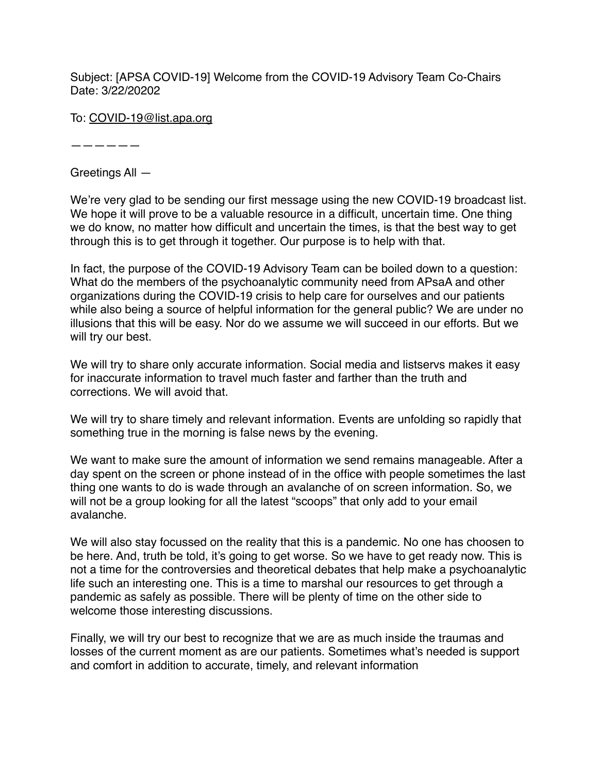Subject: [APSA COVID-19] Welcome from the COVID-19 Advisory Team Co-Chairs Date: 3/22/20202

To: [COVID-19@list.apa.org](mailto:COVID-19@list.apa.org)

——————

Greetings All —

We're very glad to be sending our first message using the new COVID-19 broadcast list. We hope it will prove to be a valuable resource in a difficult, uncertain time. One thing we do know, no matter how difficult and uncertain the times, is that the best way to get through this is to get through it together. Our purpose is to help with that.

In fact, the purpose of the COVID-19 Advisory Team can be boiled down to a question: What do the members of the psychoanalytic community need from APsaA and other organizations during the COVID-19 crisis to help care for ourselves and our patients while also being a source of helpful information for the general public? We are under no illusions that this will be easy. Nor do we assume we will succeed in our efforts. But we will try our best.

We will try to share only accurate information. Social media and listservs makes it easy for inaccurate information to travel much faster and farther than the truth and corrections. We will avoid that.

We will try to share timely and relevant information. Events are unfolding so rapidly that something true in the morning is false news by the evening.

We want to make sure the amount of information we send remains manageable. After a day spent on the screen or phone instead of in the office with people sometimes the last thing one wants to do is wade through an avalanche of on screen information. So, we will not be a group looking for all the latest "scoops" that only add to your email avalanche.

We will also stay focussed on the reality that this is a pandemic. No one has choosen to be here. And, truth be told, it's going to get worse. So we have to get ready now. This is not a time for the controversies and theoretical debates that help make a psychoanalytic life such an interesting one. This is a time to marshal our resources to get through a pandemic as safely as possible. There will be plenty of time on the other side to welcome those interesting discussions.

Finally, we will try our best to recognize that we are as much inside the traumas and losses of the current moment as are our patients. Sometimes what's needed is support and comfort in addition to accurate, timely, and relevant information